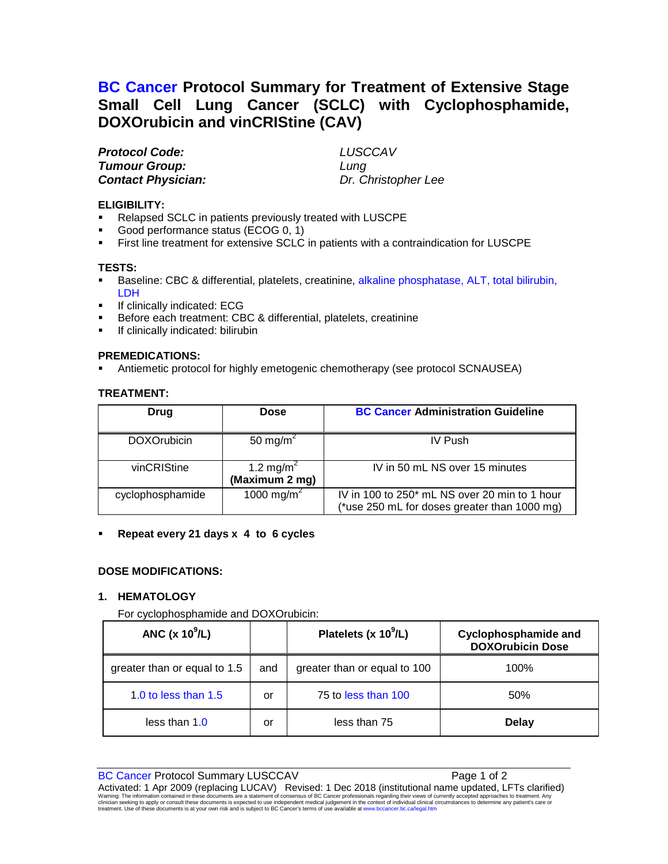# **BC Cancer Protocol Summary for Treatment of Extensive Stage Small Cell Lung Cancer (SCLC) with Cyclophosphamide, DOXOrubicin and vinCRIStine (CAV)**

*Protocol Code: LUSCCAV Tumour Group: Lung*

**Contact Physician: Dr. Christopher Lee** 

#### **ELIGIBILITY:**

- Relapsed SCLC in patients previously treated with LUSCPE
- Good performance status (ECOG 0, 1)
- First line treatment for extensive SCLC in patients with a contraindication for LUSCPE

#### **TESTS:**

- Baseline: CBC & differential, platelets, creatinine, alkaline phosphatase, ALT, total bilirubin, LDH
- If clinically indicated: ECG
- Before each treatment: CBC & differential, platelets, creatinine
- **If clinically indicated: bilirubin**

### **PREMEDICATIONS:**

Antiemetic protocol for highly emetogenic chemotherapy (see protocol SCNAUSEA)

# **TREATMENT:**

| Drug               | <b>Dose</b>                             | <b>BC Cancer Administration Guideline</b>                                                     |
|--------------------|-----------------------------------------|-----------------------------------------------------------------------------------------------|
| <b>DOXOrubicin</b> | 50 mg/m <sup>2</sup>                    | <b>IV Push</b>                                                                                |
| vinCRIStine        | 1.2 mg/m <sup>2</sup><br>(Maximum 2 mg) | IV in 50 mL NS over 15 minutes                                                                |
| cyclophosphamide   | 1000 mg/m <sup>2</sup>                  | IV in 100 to 250* mL NS over 20 min to 1 hour<br>(*use 250 mL for doses greater than 1000 mg) |

#### **Repeat every 21 days x 4 to 6 cycles**

# **DOSE MODIFICATIONS:**

#### **1. HEMATOLOGY**

#### For cyclophosphamide and DOXOrubicin:

| ANC $(x 10^9/L)$             |     | Platelets (x $10^9$ /L)      | <b>Cyclophosphamide and</b><br><b>DOXOrubicin Dose</b> |
|------------------------------|-----|------------------------------|--------------------------------------------------------|
| greater than or equal to 1.5 | and | greater than or equal to 100 | 100%                                                   |
| 1.0 to less than 1.5         | or  | 75 to less than 100          | 50%                                                    |
| less than $1.0$              | or  | less than 75                 | <b>Delay</b>                                           |